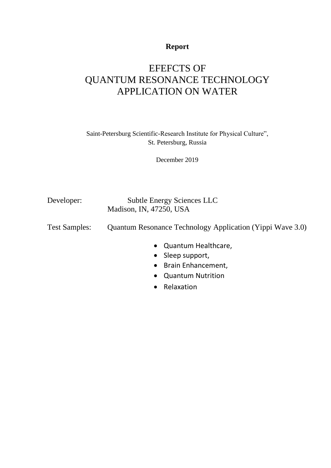## **Report**

# EFEFCTS OF QUANTUM RESONANCE TECHNOLOGY APPLICATION ON WATER

Saint-Petersburg Scientific-Research Institute for Physical Culture", St. Petersburg, Russia

December 2019

Developer: Subtle Energy Sciences LLC Madison, IN, 47250, USA

Test Samples: Quantum Resonance Technology Application (Yippi Wave 3.0)

- Quantum Healthcare,
- Sleep support,
- Brain Enhancement,
- Quantum Nutrition
- Relaxation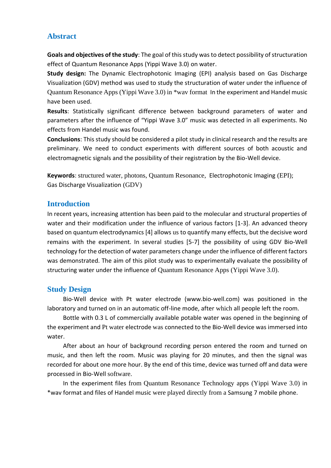#### **Abstract**

**Goals and objectives of the study**: The goal of this study was to detect possibility of structuration effect of Quantum Resonance Apps (Yippi Wave 3.0) on water.

**Study design:** The Dynamic Electrophotonic Imaging (EPI) analysis based on Gas Discharge Visualization (GDV) method was used to study the structuration of water under the influence of Quantum Resonance Apps (Yippi Wave 3.0) in \*wav format In the experiment and Handel music have been used.

**Results**: Statistically significant difference between background parameters of water and parameters after the influence of "Yippi Wave 3.0" music was detected in all experiments. No effects from Handel music was found.

**Conclusions**: This study should be considered a pilot study in clinical research and the results are preliminary. We need to conduct experiments with different sources of both acoustic and electromagnetic signals and the possibility of their registration by the Bio-Well device.

**Keywords**: structured water, photons, Quantum Resonance, Electrophotonic Imaging (EPI); Gas Discharge Visualization (GDV)

#### **Introduction**

In recent years, increasing attention has been paid to the molecular and structural properties of water and their modification under the influence of various factors [1-3]. An advanced theory based on quantum electrodynamics [4] allows us to quantify many effects, but the decisive word remains with the experiment. In several studies [5-7] the possibility of using GDV Bio-Well technology for the detection of water parameters change under the influence of different factors was demonstrated. The aim of this pilot study was to experimentally evaluate the possibility of structuring water under the influence of Quantum Resonance Apps (Yippi Wave 3.0).

### **Study Design**

Bio-Well device with Pt water electrode (www.bio-well.com) was positioned in the laboratory and turned on in an automatic off-line mode, after which all people left the room.

Bottle with 0.3 L of commercially available potable water was opened in the beginning of the experiment and Pt water electrode was connected to the Bio-Well device was immersed into water.

After about an hour of background recording person entered the room and turned on music, and then left the room. Music was playing for 20 minutes, and then the signal was recorded for about one more hour. By the end of this time, device was turned off and data were processed in Bio-Well software.

In the experiment files from Quantum Resonance Technology apps (Yippi Wave 3.0) in \*wav format and files of Handel music were played directly from a Samsung 7 mobile phone.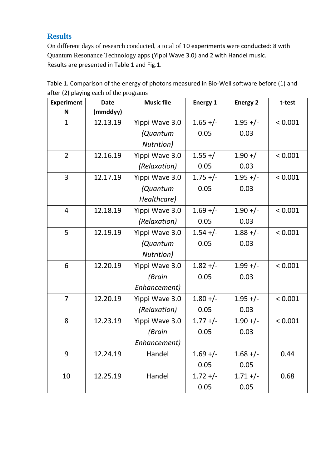## **Results**

On different days of research conducted, a total of 10 experiments were conducted: 8 with Quantum Resonance Technology apps (Yippi Wave 3.0) and 2 with Handel music. Results are presented in Table 1 and Fig.1.

| <b>Experiment</b> | <b>Date</b> | <b>Music file</b> | <b>Energy 1</b> | <b>Energy 2</b> | t-test  |
|-------------------|-------------|-------------------|-----------------|-----------------|---------|
| N                 | (mmddyy)    |                   |                 |                 |         |
| 1                 | 12.13.19    | Yippi Wave 3.0    | $1.65 +/-$      | $1.95 +/-$      | < 0.001 |
|                   |             | (Quantum          | 0.05            | 0.03            |         |
|                   |             | Nutrition)        |                 |                 |         |
| $\overline{2}$    | 12.16.19    | Yippi Wave 3.0    | $1.55 +/-$      | $1.90 +/-$      | < 0.001 |
|                   |             | (Relaxation)      | 0.05            | 0.03            |         |
| 3                 | 12.17.19    | Yippi Wave 3.0    | $1.75 +/-$      | $1.95 +/-$      | < 0.001 |
|                   |             | (Quantum          | 0.05            | 0.03            |         |
|                   |             | Healthcare)       |                 |                 |         |
| 4                 | 12.18.19    | Yippi Wave 3.0    | $1.69 +/-$      | $1.90 +/-$      | < 0.001 |
|                   |             | (Relaxation)      | 0.05            | 0.03            |         |
| 5                 | 12.19.19    | Yippi Wave 3.0    | $1.54 +/-$      | $1.88 +/-$      | < 0.001 |
|                   |             | (Quantum          | 0.05            | 0.03            |         |
|                   |             | Nutrition)        |                 |                 |         |
| 6                 | 12.20.19    | Yippi Wave 3.0    | $1.82 +/-$      | $1.99 +/-$      | < 0.001 |
|                   |             | (Brain            | 0.05            | 0.03            |         |
|                   |             | Enhancement)      |                 |                 |         |
| $\overline{7}$    | 12.20.19    | Yippi Wave 3.0    | $1.80 +/-$      | $1.95 +/-$      | < 0.001 |
|                   |             | (Relaxation)      | 0.05            | 0.03            |         |
| 8                 | 12.23.19    | Yippi Wave 3.0    | $1.77 +/-$      | $1.90 +/-$      | < 0.001 |
|                   |             | (Brain            | 0.05            | 0.03            |         |
|                   |             | Enhancement)      |                 |                 |         |
| 9                 | 12.24.19    | Handel            | $1.69 +/-$      | $1.68 +/-$      | 0.44    |
|                   |             |                   | 0.05            | 0.05            |         |
| 10                | 12.25.19    | Handel            | $1.72 +/-$      | $1.71 +/-$      | 0.68    |
|                   |             |                   | 0.05            | 0.05            |         |

Table 1. Comparison of the energy of photons measured in Bio-Well software before (1) and after (2) playing each of the programs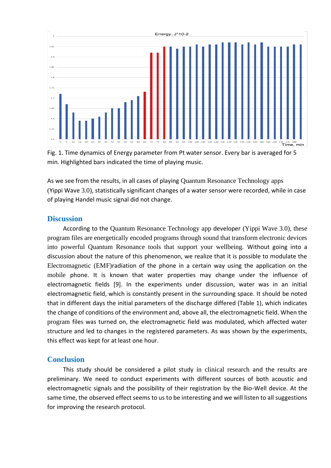

Fig. 1. Time dynamics of Energy parameter from Pt water sensor. Every bar is averaged for 5 min. Highlighted bars indicated the time of playing music.

As we see from the results, in all cases of playing Quantum Resonance Technology apps (Yippi Wave 3.0), statistically significant changes of a water sensor were recorded, while in case of playing Handel music signal did not change.

#### **Discussion**

According to the Quantum Resonance Technology app developer (Yippi Wave 3.0), these program files are energetically encoded programs through sound that transform electronic devices into powerful Quantum Resonance tools that support your wellbeing. Without going into a discussion about the nature of this phenomenon, we realize that it is possible to modulate the Electromagnetic (EMF)radiation of the phone in a certain way using the application on the mobile phone. It is known that water properties may change under the influence of electromagnetic fields [9]. In the experiments under discussion, water was in an initial electromagnetic field, which is constantly present in the surrounding space. It should be noted that in different days the initial parameters of the discharge differed (Table 1), which indicates the change of conditions of the environment and, above all, the electromagnetic field. When the program files was turned on, the electromagnetic field was modulated, which affected water structure and led to changes in the registered parameters. As was shown by the experiments, this effect was kept for at least one hour.

#### **Conclusion**

This study should be considered a pilot study in clinical research and the results are preliminary. We need to conduct experiments with different sources of both acoustic and electromagnetic signals and the possibility of their registration by the Bio-Well device. At the same time, the observed effect seems to us to be interesting and we will listen to all suggestions for improving the research protocol.